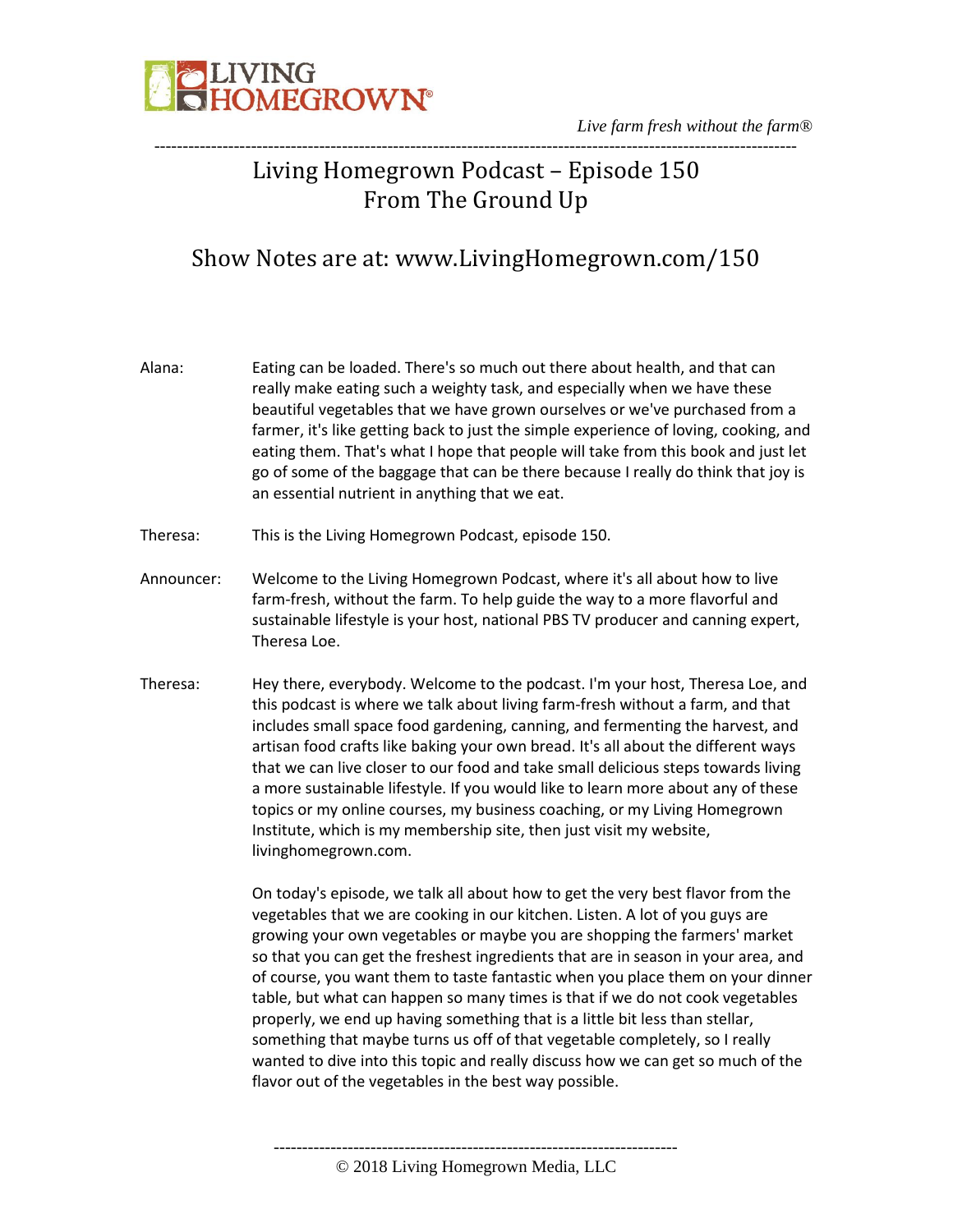

*Live farm fresh without the farm®* -----------------------------------------------------------------------------------------------------------------

### Living Homegrown Podcast – Episode 150 From The Ground Up

### Show Notes are at: www.LivingHomegrown.com/150

- Alana: Eating can be loaded. There's so much out there about health, and that can really make eating such a weighty task, and especially when we have these beautiful vegetables that we have grown ourselves or we've purchased from a farmer, it's like getting back to just the simple experience of loving, cooking, and eating them. That's what I hope that people will take from this book and just let go of some of the baggage that can be there because I really do think that joy is an essential nutrient in anything that we eat.
- Theresa: This is the Living Homegrown Podcast, episode 150.
- Announcer: Welcome to the Living Homegrown Podcast, where it's all about how to live farm-fresh, without the farm. To help guide the way to a more flavorful and sustainable lifestyle is your host, national PBS TV producer and canning expert, Theresa Loe.
- Theresa: Hey there, everybody. Welcome to the podcast. I'm your host, Theresa Loe, and this podcast is where we talk about living farm-fresh without a farm, and that includes small space food gardening, canning, and fermenting the harvest, and artisan food crafts like baking your own bread. It's all about the different ways that we can live closer to our food and take small delicious steps towards living a more sustainable lifestyle. If you would like to learn more about any of these topics or my online courses, my business coaching, or my Living Homegrown Institute, which is my membership site, then just visit my website, livinghomegrown.com.

On today's episode, we talk all about how to get the very best flavor from the vegetables that we are cooking in our kitchen. Listen. A lot of you guys are growing your own vegetables or maybe you are shopping the farmers' market so that you can get the freshest ingredients that are in season in your area, and of course, you want them to taste fantastic when you place them on your dinner table, but what can happen so many times is that if we do not cook vegetables properly, we end up having something that is a little bit less than stellar, something that maybe turns us off of that vegetable completely, so I really wanted to dive into this topic and really discuss how we can get so much of the flavor out of the vegetables in the best way possible.

----------------------------------------------------------------------- © 2018 Living Homegrown Media, LLC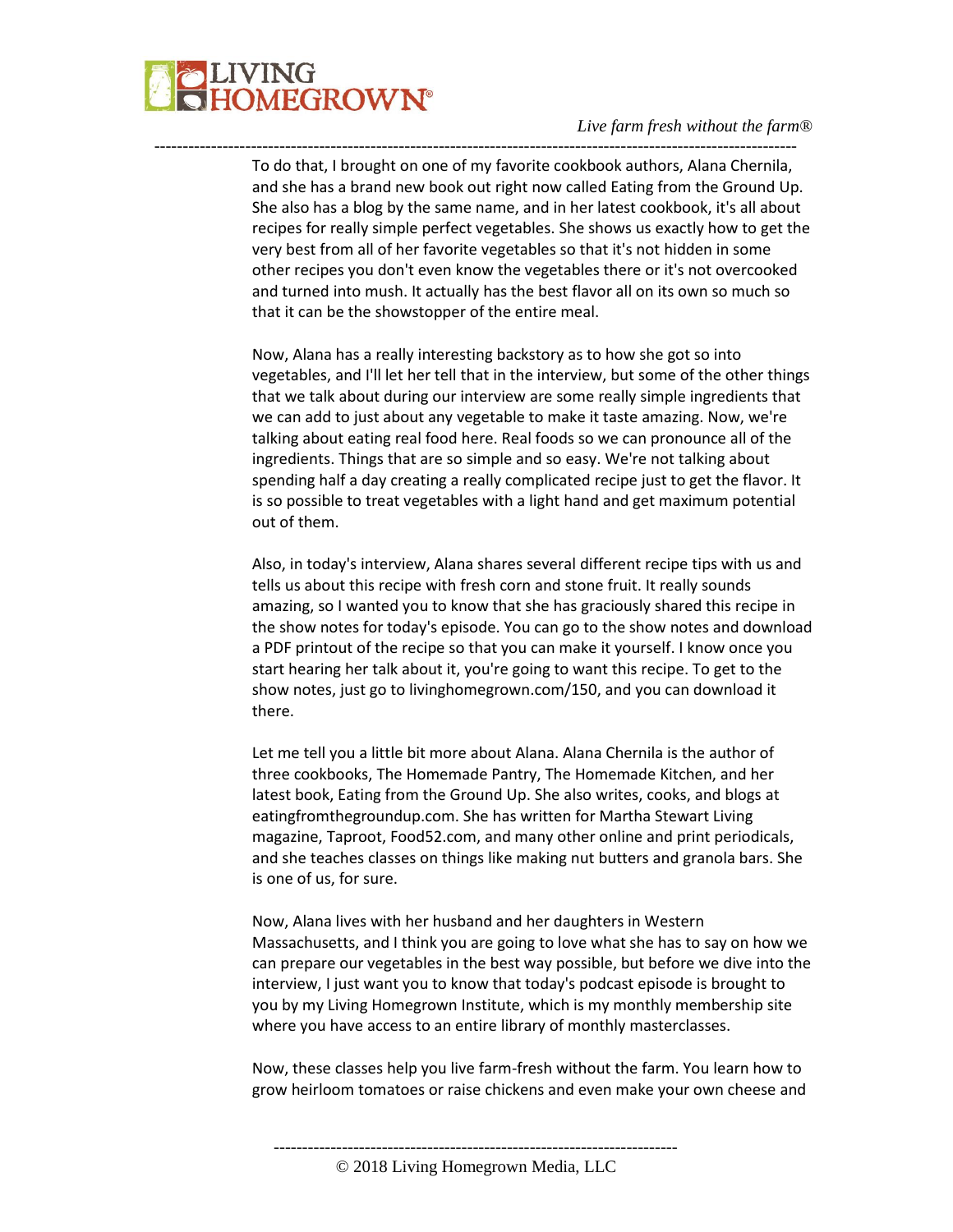

To do that, I brought on one of my favorite cookbook authors, Alana Chernila, and she has a brand new book out right now called Eating from the Ground Up. She also has a blog by the same name, and in her latest cookbook, it's all about recipes for really simple perfect vegetables. She shows us exactly how to get the very best from all of her favorite vegetables so that it's not hidden in some other recipes you don't even know the vegetables there or it's not overcooked and turned into mush. It actually has the best flavor all on its own so much so that it can be the showstopper of the entire meal.

-----------------------------------------------------------------------------------------------------------------

Now, Alana has a really interesting backstory as to how she got so into vegetables, and I'll let her tell that in the interview, but some of the other things that we talk about during our interview are some really simple ingredients that we can add to just about any vegetable to make it taste amazing. Now, we're talking about eating real food here. Real foods so we can pronounce all of the ingredients. Things that are so simple and so easy. We're not talking about spending half a day creating a really complicated recipe just to get the flavor. It is so possible to treat vegetables with a light hand and get maximum potential out of them.

Also, in today's interview, Alana shares several different recipe tips with us and tells us about this recipe with fresh corn and stone fruit. It really sounds amazing, so I wanted you to know that she has graciously shared this recipe in the show notes for today's episode. You can go to the show notes and download a PDF printout of the recipe so that you can make it yourself. I know once you start hearing her talk about it, you're going to want this recipe. To get to the show notes, just go to livinghomegrown.com/150, and you can download it there.

Let me tell you a little bit more about Alana. Alana Chernila is the author of three cookbooks, The Homemade Pantry, The Homemade Kitchen, and her latest book, Eating from the Ground Up. She also writes, cooks, and blogs at eatingfromthegroundup.com. She has written for Martha Stewart Living magazine, Taproot, Food52.com, and many other online and print periodicals, and she teaches classes on things like making nut butters and granola bars. She is one of us, for sure.

Now, Alana lives with her husband and her daughters in Western Massachusetts, and I think you are going to love what she has to say on how we can prepare our vegetables in the best way possible, but before we dive into the interview, I just want you to know that today's podcast episode is brought to you by my Living Homegrown Institute, which is my monthly membership site where you have access to an entire library of monthly masterclasses.

Now, these classes help you live farm-fresh without the farm. You learn how to grow heirloom tomatoes or raise chickens and even make your own cheese and

<sup>-----------------------------------------------------------------------</sup>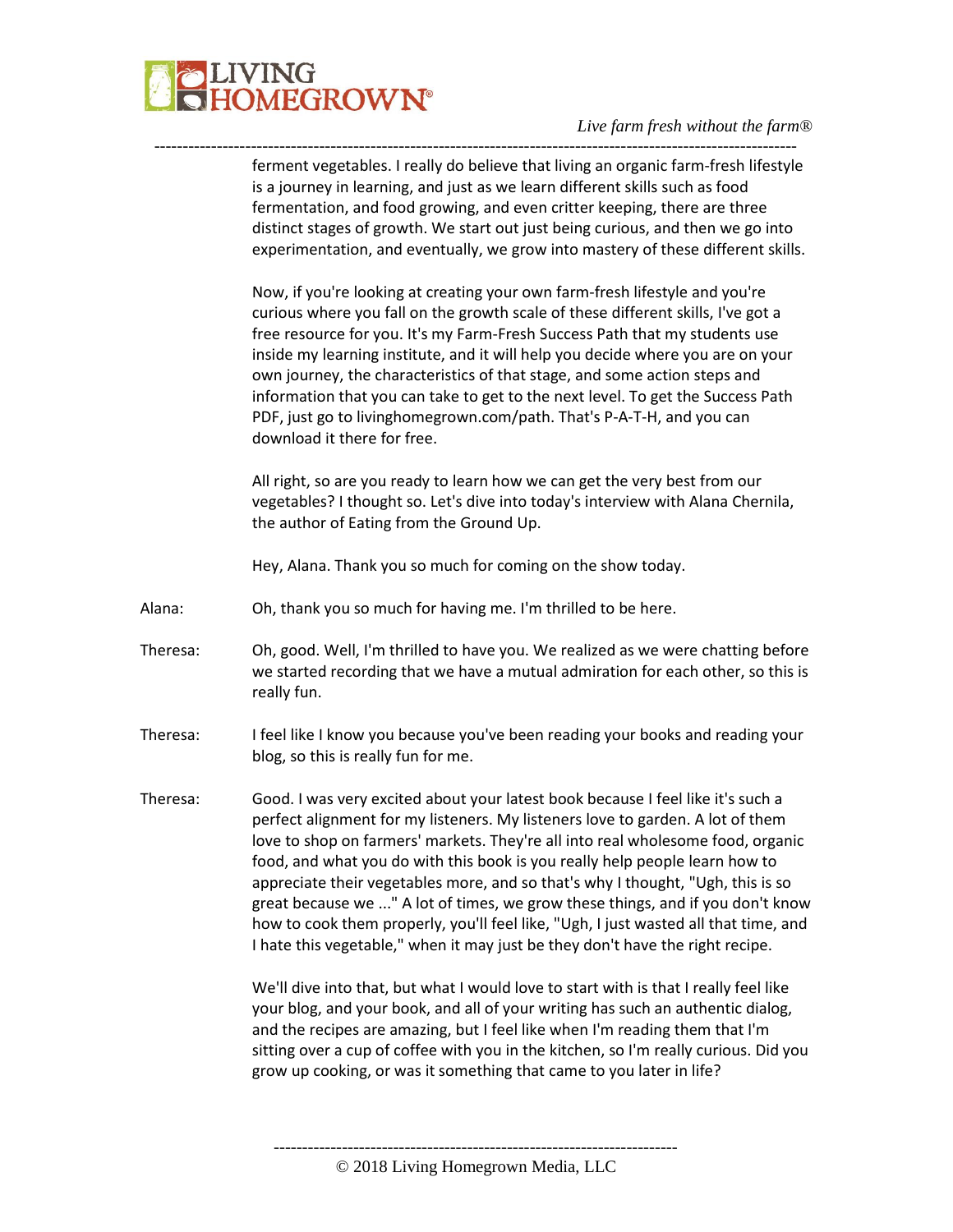

---------------------------------------------------------------------------------------------------------------- ferment vegetables. I really do believe that living an organic farm-fresh lifestyle is a journey in learning, and just as we learn different skills such as food fermentation, and food growing, and even critter keeping, there are three distinct stages of growth. We start out just being curious, and then we go into experimentation, and eventually, we grow into mastery of these different skills.

> Now, if you're looking at creating your own farm-fresh lifestyle and you're curious where you fall on the growth scale of these different skills, I've got a free resource for you. It's my Farm-Fresh Success Path that my students use inside my learning institute, and it will help you decide where you are on your own journey, the characteristics of that stage, and some action steps and information that you can take to get to the next level. To get the Success Path PDF, just go to livinghomegrown.com/path. That's P-A-T-H, and you can download it there for free.

> All right, so are you ready to learn how we can get the very best from our vegetables? I thought so. Let's dive into today's interview with Alana Chernila, the author of Eating from the Ground Up.

Hey, Alana. Thank you so much for coming on the show today.

- Alana: Oh, thank you so much for having me. I'm thrilled to be here.
- Theresa: Oh, good. Well, I'm thrilled to have you. We realized as we were chatting before we started recording that we have a mutual admiration for each other, so this is really fun.
- Theresa: I feel like I know you because you've been reading your books and reading your blog, so this is really fun for me.
- Theresa: Good. I was very excited about your latest book because I feel like it's such a perfect alignment for my listeners. My listeners love to garden. A lot of them love to shop on farmers' markets. They're all into real wholesome food, organic food, and what you do with this book is you really help people learn how to appreciate their vegetables more, and so that's why I thought, "Ugh, this is so great because we ..." A lot of times, we grow these things, and if you don't know how to cook them properly, you'll feel like, "Ugh, I just wasted all that time, and I hate this vegetable," when it may just be they don't have the right recipe.

We'll dive into that, but what I would love to start with is that I really feel like your blog, and your book, and all of your writing has such an authentic dialog, and the recipes are amazing, but I feel like when I'm reading them that I'm sitting over a cup of coffee with you in the kitchen, so I'm really curious. Did you grow up cooking, or was it something that came to you later in life?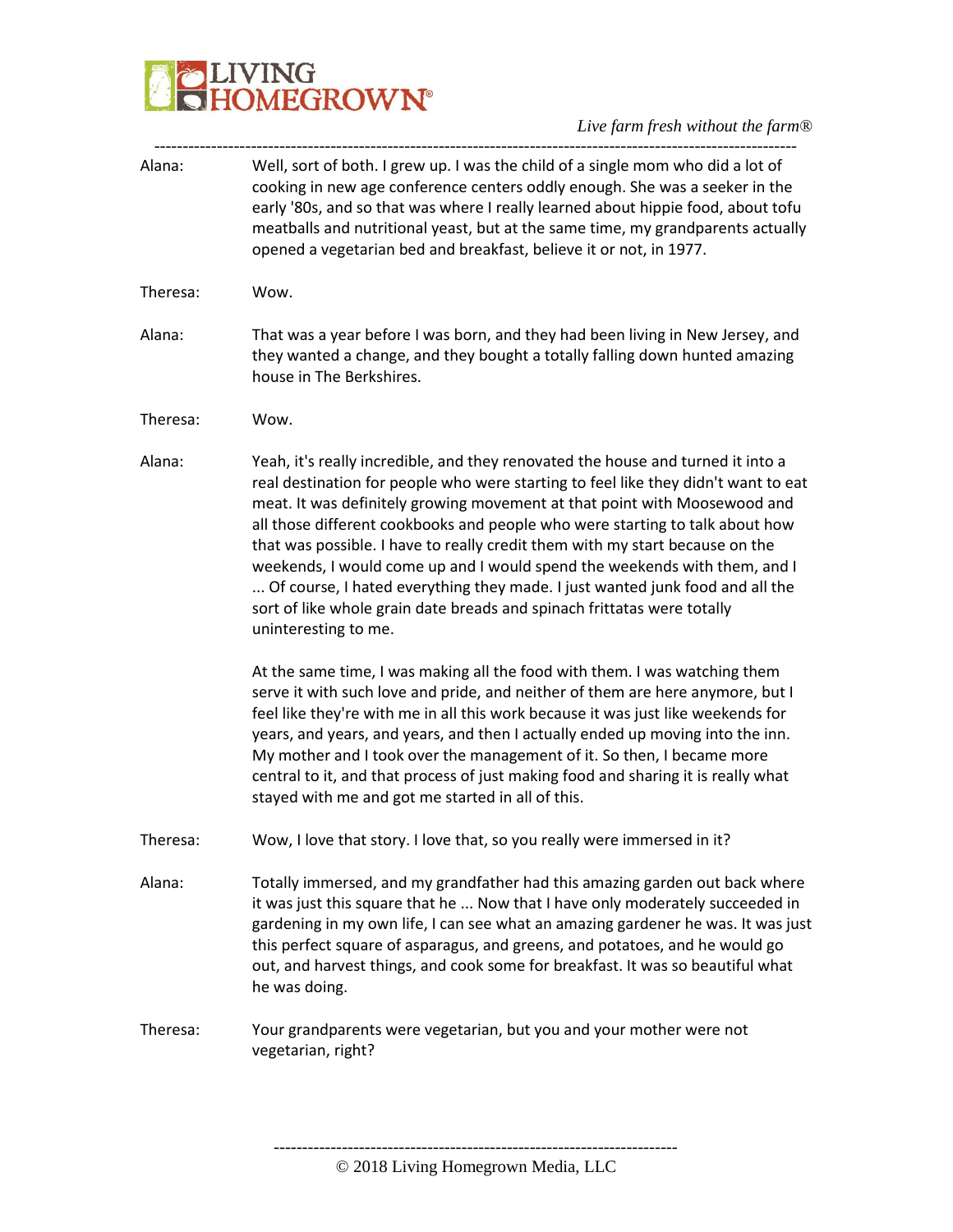# **BELIVING**<br>**BELIVING**<br> **BELIVING**

*Live farm fresh without the farm®*

| Alana:   | Well, sort of both. I grew up. I was the child of a single mom who did a lot of<br>cooking in new age conference centers oddly enough. She was a seeker in the<br>early '80s, and so that was where I really learned about hippie food, about tofu<br>meatballs and nutritional yeast, but at the same time, my grandparents actually<br>opened a vegetarian bed and breakfast, believe it or not, in 1977.                                                                                                                                                                                                                                                                        |
|----------|------------------------------------------------------------------------------------------------------------------------------------------------------------------------------------------------------------------------------------------------------------------------------------------------------------------------------------------------------------------------------------------------------------------------------------------------------------------------------------------------------------------------------------------------------------------------------------------------------------------------------------------------------------------------------------|
| Theresa: | Wow.                                                                                                                                                                                                                                                                                                                                                                                                                                                                                                                                                                                                                                                                               |
| Alana:   | That was a year before I was born, and they had been living in New Jersey, and<br>they wanted a change, and they bought a totally falling down hunted amazing<br>house in The Berkshires.                                                                                                                                                                                                                                                                                                                                                                                                                                                                                          |
| Theresa: | Wow.                                                                                                                                                                                                                                                                                                                                                                                                                                                                                                                                                                                                                                                                               |
| Alana:   | Yeah, it's really incredible, and they renovated the house and turned it into a<br>real destination for people who were starting to feel like they didn't want to eat<br>meat. It was definitely growing movement at that point with Moosewood and<br>all those different cookbooks and people who were starting to talk about how<br>that was possible. I have to really credit them with my start because on the<br>weekends, I would come up and I would spend the weekends with them, and I<br>Of course, I hated everything they made. I just wanted junk food and all the<br>sort of like whole grain date breads and spinach frittatas were totally<br>uninteresting to me. |
|          | At the same time, I was making all the food with them. I was watching them<br>serve it with such love and pride, and neither of them are here anymore, but I<br>feel like they're with me in all this work because it was just like weekends for<br>years, and years, and years, and then I actually ended up moving into the inn.<br>My mother and I took over the management of it. So then, I became more<br>central to it, and that process of just making food and sharing it is really what<br>stayed with me and got me started in all of this.                                                                                                                             |
| Theresa: | Wow, I love that story. I love that, so you really were immersed in it?                                                                                                                                                                                                                                                                                                                                                                                                                                                                                                                                                                                                            |
| Alana:   | Totally immersed, and my grandfather had this amazing garden out back where<br>it was just this square that he  Now that I have only moderately succeeded in<br>gardening in my own life, I can see what an amazing gardener he was. It was just<br>this perfect square of asparagus, and greens, and potatoes, and he would go<br>out, and harvest things, and cook some for breakfast. It was so beautiful what<br>he was doing.                                                                                                                                                                                                                                                 |
| Theresa: | Your grandparents were vegetarian, but you and your mother were not<br>vegetarian, right?                                                                                                                                                                                                                                                                                                                                                                                                                                                                                                                                                                                          |
|          |                                                                                                                                                                                                                                                                                                                                                                                                                                                                                                                                                                                                                                                                                    |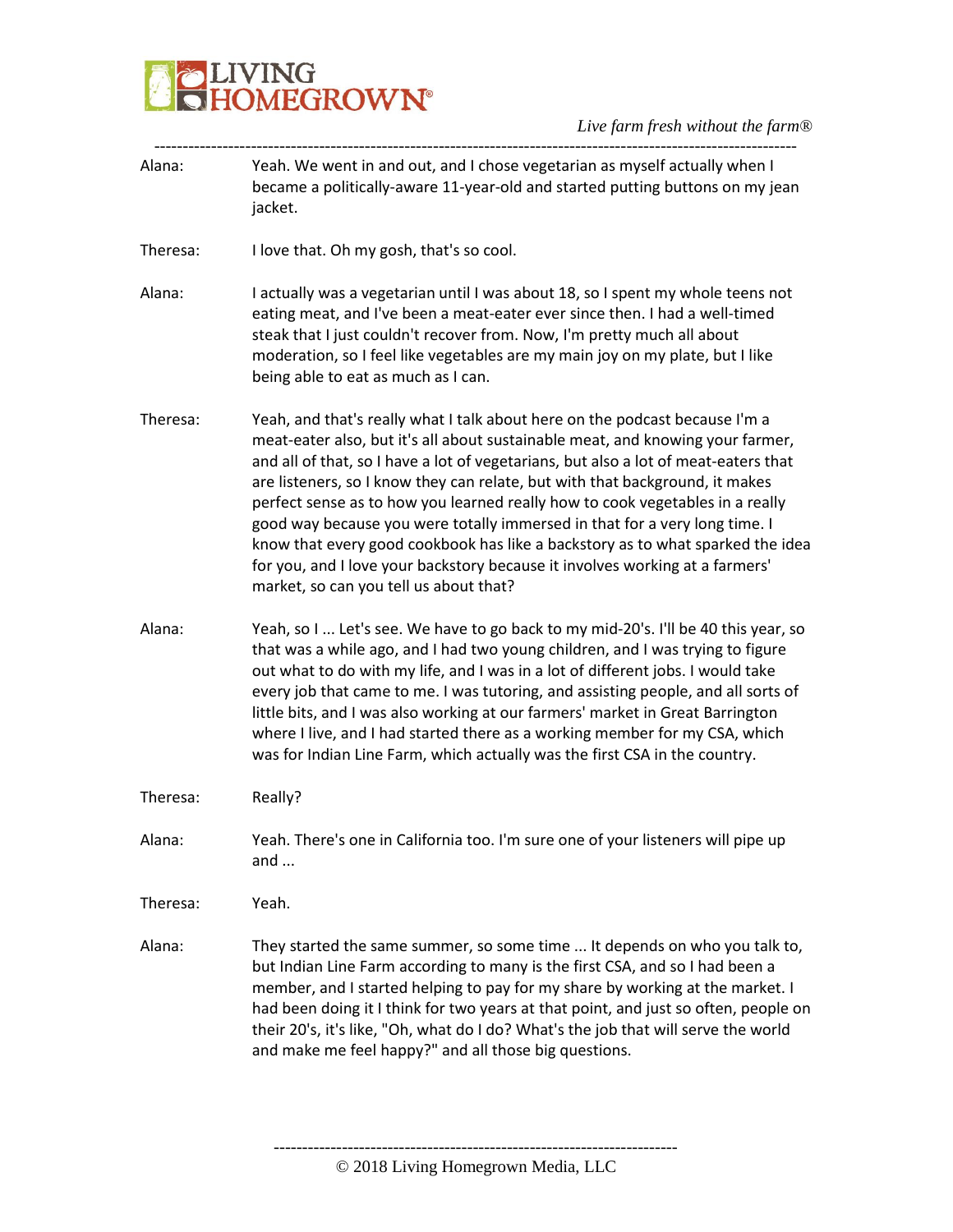

| Yeah. We went in and out, and I chose vegetarian as myself actually when I<br>became a politically-aware 11-year-old and started putting buttons on my jean<br>jacket.                                                                                                                                                                                                                                                                                                                                                                                                                                                                                                                                          |
|-----------------------------------------------------------------------------------------------------------------------------------------------------------------------------------------------------------------------------------------------------------------------------------------------------------------------------------------------------------------------------------------------------------------------------------------------------------------------------------------------------------------------------------------------------------------------------------------------------------------------------------------------------------------------------------------------------------------|
| I love that. Oh my gosh, that's so cool.                                                                                                                                                                                                                                                                                                                                                                                                                                                                                                                                                                                                                                                                        |
| I actually was a vegetarian until I was about 18, so I spent my whole teens not<br>eating meat, and I've been a meat-eater ever since then. I had a well-timed<br>steak that I just couldn't recover from. Now, I'm pretty much all about<br>moderation, so I feel like vegetables are my main joy on my plate, but I like<br>being able to eat as much as I can.                                                                                                                                                                                                                                                                                                                                               |
| Yeah, and that's really what I talk about here on the podcast because I'm a<br>meat-eater also, but it's all about sustainable meat, and knowing your farmer,<br>and all of that, so I have a lot of vegetarians, but also a lot of meat-eaters that<br>are listeners, so I know they can relate, but with that background, it makes<br>perfect sense as to how you learned really how to cook vegetables in a really<br>good way because you were totally immersed in that for a very long time. I<br>know that every good cookbook has like a backstory as to what sparked the idea<br>for you, and I love your backstory because it involves working at a farmers'<br>market, so can you tell us about that? |
| Yeah, so I  Let's see. We have to go back to my mid-20's. I'll be 40 this year, so<br>that was a while ago, and I had two young children, and I was trying to figure<br>out what to do with my life, and I was in a lot of different jobs. I would take<br>every job that came to me. I was tutoring, and assisting people, and all sorts of<br>little bits, and I was also working at our farmers' market in Great Barrington<br>where I live, and I had started there as a working member for my CSA, which<br>was for Indian Line Farm, which actually was the first CSA in the country.                                                                                                                     |
| Really?                                                                                                                                                                                                                                                                                                                                                                                                                                                                                                                                                                                                                                                                                                         |
| Yeah. There's one in California too. I'm sure one of your listeners will pipe up<br>and $\dots$                                                                                                                                                                                                                                                                                                                                                                                                                                                                                                                                                                                                                 |
| Yeah.                                                                                                                                                                                                                                                                                                                                                                                                                                                                                                                                                                                                                                                                                                           |
| They started the same summer, so some time  It depends on who you talk to,<br>but Indian Line Farm according to many is the first CSA, and so I had been a<br>member, and I started helping to pay for my share by working at the market. I<br>had been doing it I think for two years at that point, and just so often, people on<br>their 20's, it's like, "Oh, what do I do? What's the job that will serve the world<br>and make me feel happy?" and all those big questions.                                                                                                                                                                                                                               |
|                                                                                                                                                                                                                                                                                                                                                                                                                                                                                                                                                                                                                                                                                                                 |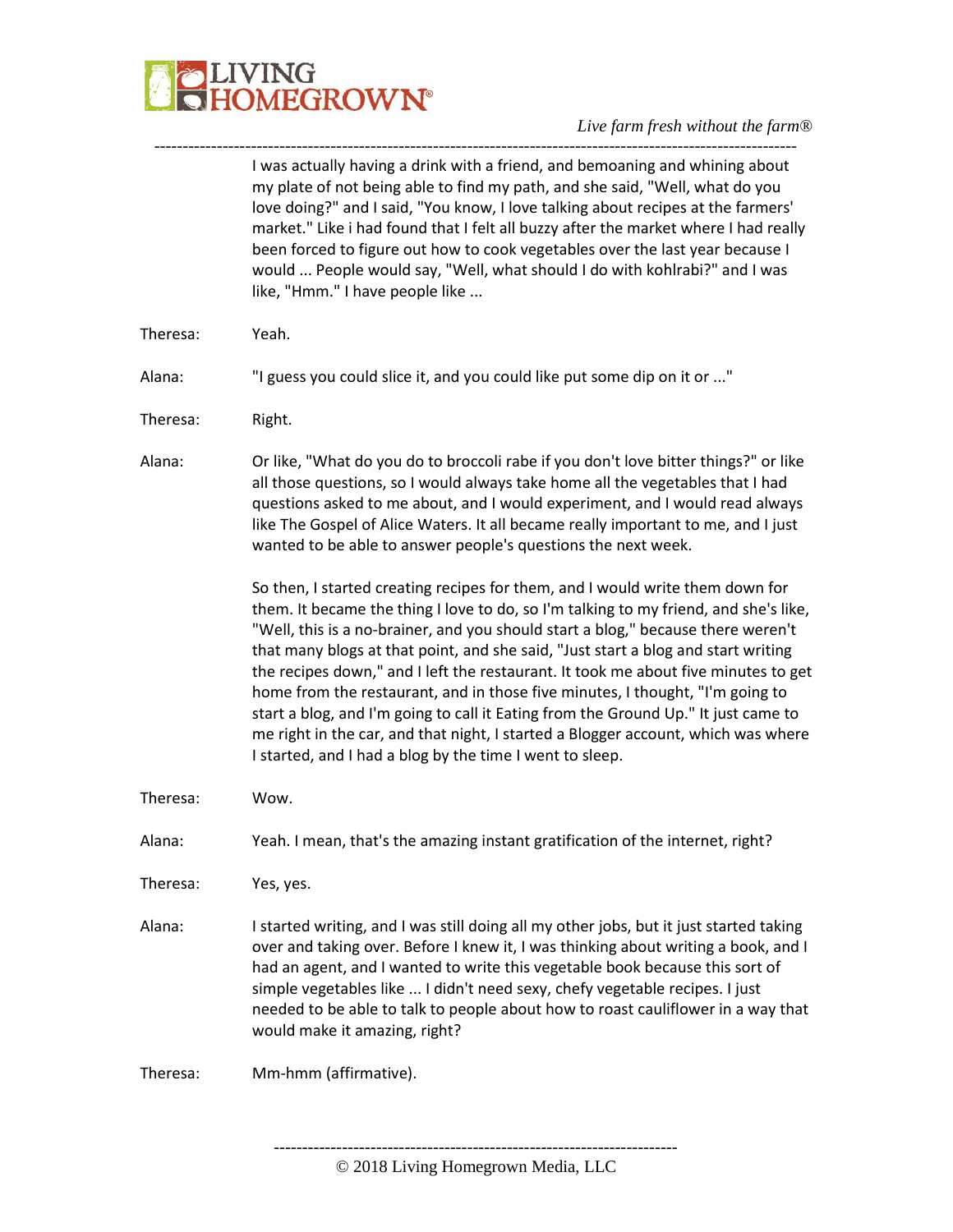

----------------------------------------------------------------------------------------------------------------- I was actually having a drink with a friend, and bemoaning and whining about my plate of not being able to find my path, and she said, "Well, what do you love doing?" and I said, "You know, I love talking about recipes at the farmers' market." Like i had found that I felt all buzzy after the market where I had really been forced to figure out how to cook vegetables over the last year because I would ... People would say, "Well, what should I do with kohlrabi?" and I was like, "Hmm." I have people like ...

- Theresa: Yeah.
- Alana: "I guess you could slice it, and you could like put some dip on it or ..."
- Theresa: Right.

Alana: Or like, "What do you do to broccoli rabe if you don't love bitter things?" or like all those questions, so I would always take home all the vegetables that I had questions asked to me about, and I would experiment, and I would read always like The Gospel of Alice Waters. It all became really important to me, and I just wanted to be able to answer people's questions the next week.

> So then, I started creating recipes for them, and I would write them down for them. It became the thing I love to do, so I'm talking to my friend, and she's like, "Well, this is a no-brainer, and you should start a blog," because there weren't that many blogs at that point, and she said, "Just start a blog and start writing the recipes down," and I left the restaurant. It took me about five minutes to get home from the restaurant, and in those five minutes, I thought, "I'm going to start a blog, and I'm going to call it Eating from the Ground Up." It just came to me right in the car, and that night, I started a Blogger account, which was where I started, and I had a blog by the time I went to sleep.

Theresa: Wow.

Alana: Yeah. I mean, that's the amazing instant gratification of the internet, right?

Theresa: Yes, yes.

Alana: I started writing, and I was still doing all my other jobs, but it just started taking over and taking over. Before I knew it, I was thinking about writing a book, and I had an agent, and I wanted to write this vegetable book because this sort of simple vegetables like ... I didn't need sexy, chefy vegetable recipes. I just needed to be able to talk to people about how to roast cauliflower in a way that would make it amazing, right?

Theresa: Mm-hmm (affirmative).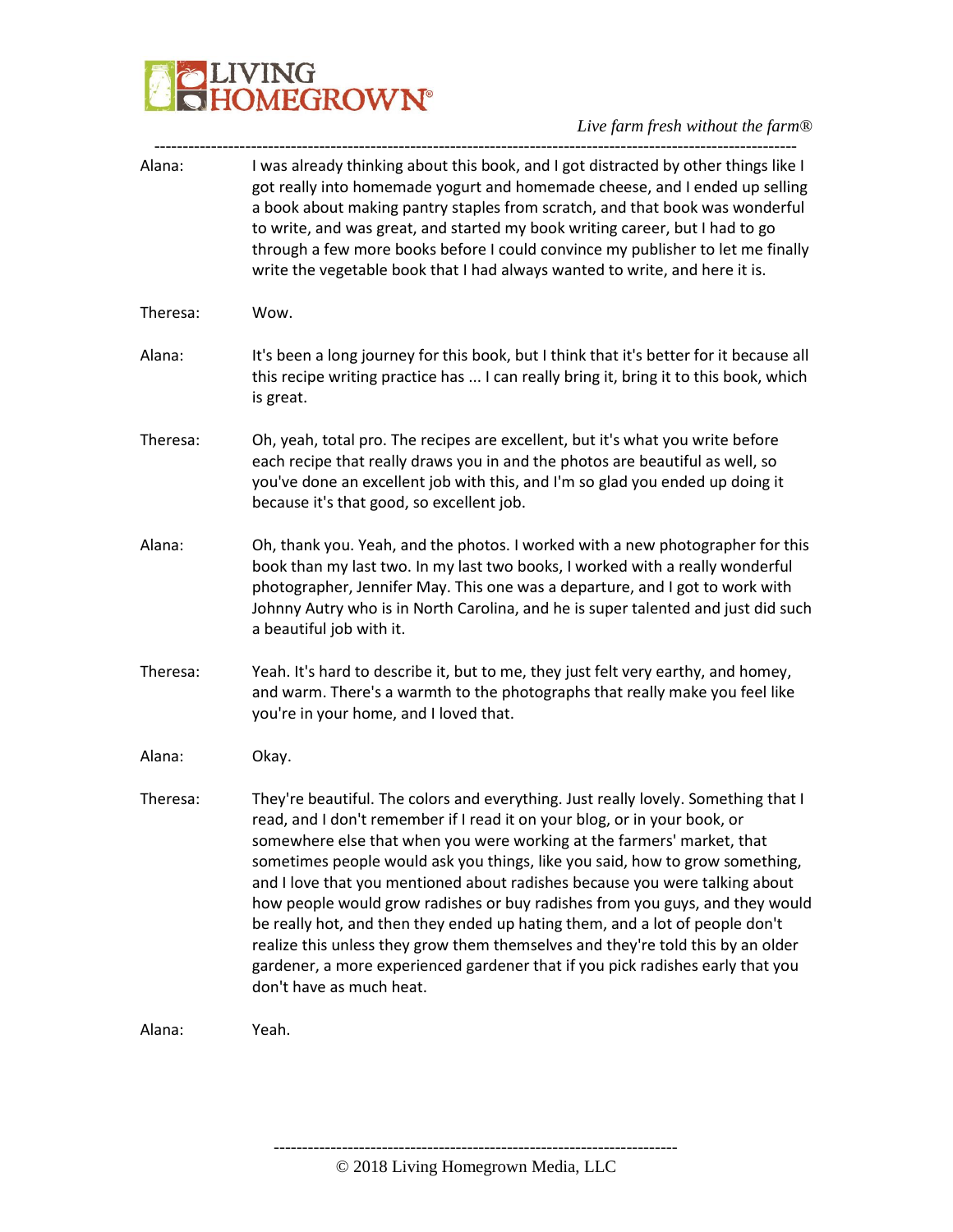

*Live farm fresh without the farm®* -----------------------------------------------------------------------------------------------------------------

| Alana:   | I was already thinking about this book, and I got distracted by other things like I<br>got really into homemade yogurt and homemade cheese, and I ended up selling<br>a book about making pantry staples from scratch, and that book was wonderful<br>to write, and was great, and started my book writing career, but I had to go<br>through a few more books before I could convince my publisher to let me finally<br>write the vegetable book that I had always wanted to write, and here it is.                                                                                                                                                                                                                                                                      |
|----------|---------------------------------------------------------------------------------------------------------------------------------------------------------------------------------------------------------------------------------------------------------------------------------------------------------------------------------------------------------------------------------------------------------------------------------------------------------------------------------------------------------------------------------------------------------------------------------------------------------------------------------------------------------------------------------------------------------------------------------------------------------------------------|
| Theresa: | Wow.                                                                                                                                                                                                                                                                                                                                                                                                                                                                                                                                                                                                                                                                                                                                                                      |
| Alana:   | It's been a long journey for this book, but I think that it's better for it because all<br>this recipe writing practice has  I can really bring it, bring it to this book, which<br>is great.                                                                                                                                                                                                                                                                                                                                                                                                                                                                                                                                                                             |
| Theresa: | Oh, yeah, total pro. The recipes are excellent, but it's what you write before<br>each recipe that really draws you in and the photos are beautiful as well, so<br>you've done an excellent job with this, and I'm so glad you ended up doing it<br>because it's that good, so excellent job.                                                                                                                                                                                                                                                                                                                                                                                                                                                                             |
| Alana:   | Oh, thank you. Yeah, and the photos. I worked with a new photographer for this<br>book than my last two. In my last two books, I worked with a really wonderful<br>photographer, Jennifer May. This one was a departure, and I got to work with<br>Johnny Autry who is in North Carolina, and he is super talented and just did such<br>a beautiful job with it.                                                                                                                                                                                                                                                                                                                                                                                                          |
| Theresa: | Yeah. It's hard to describe it, but to me, they just felt very earthy, and homey,<br>and warm. There's a warmth to the photographs that really make you feel like<br>you're in your home, and I loved that.                                                                                                                                                                                                                                                                                                                                                                                                                                                                                                                                                               |
| Alana:   | Okay.                                                                                                                                                                                                                                                                                                                                                                                                                                                                                                                                                                                                                                                                                                                                                                     |
| Theresa: | They're beautiful. The colors and everything. Just really lovely. Something that I<br>read, and I don't remember if I read it on your blog, or in your book, or<br>somewhere else that when you were working at the farmers' market, that<br>sometimes people would ask you things, like you said, how to grow something,<br>and I love that you mentioned about radishes because you were talking about<br>how people would grow radishes or buy radishes from you guys, and they would<br>be really hot, and then they ended up hating them, and a lot of people don't<br>realize this unless they grow them themselves and they're told this by an older<br>gardener, a more experienced gardener that if you pick radishes early that you<br>don't have as much heat. |
| Alana:   | Yeah.                                                                                                                                                                                                                                                                                                                                                                                                                                                                                                                                                                                                                                                                                                                                                                     |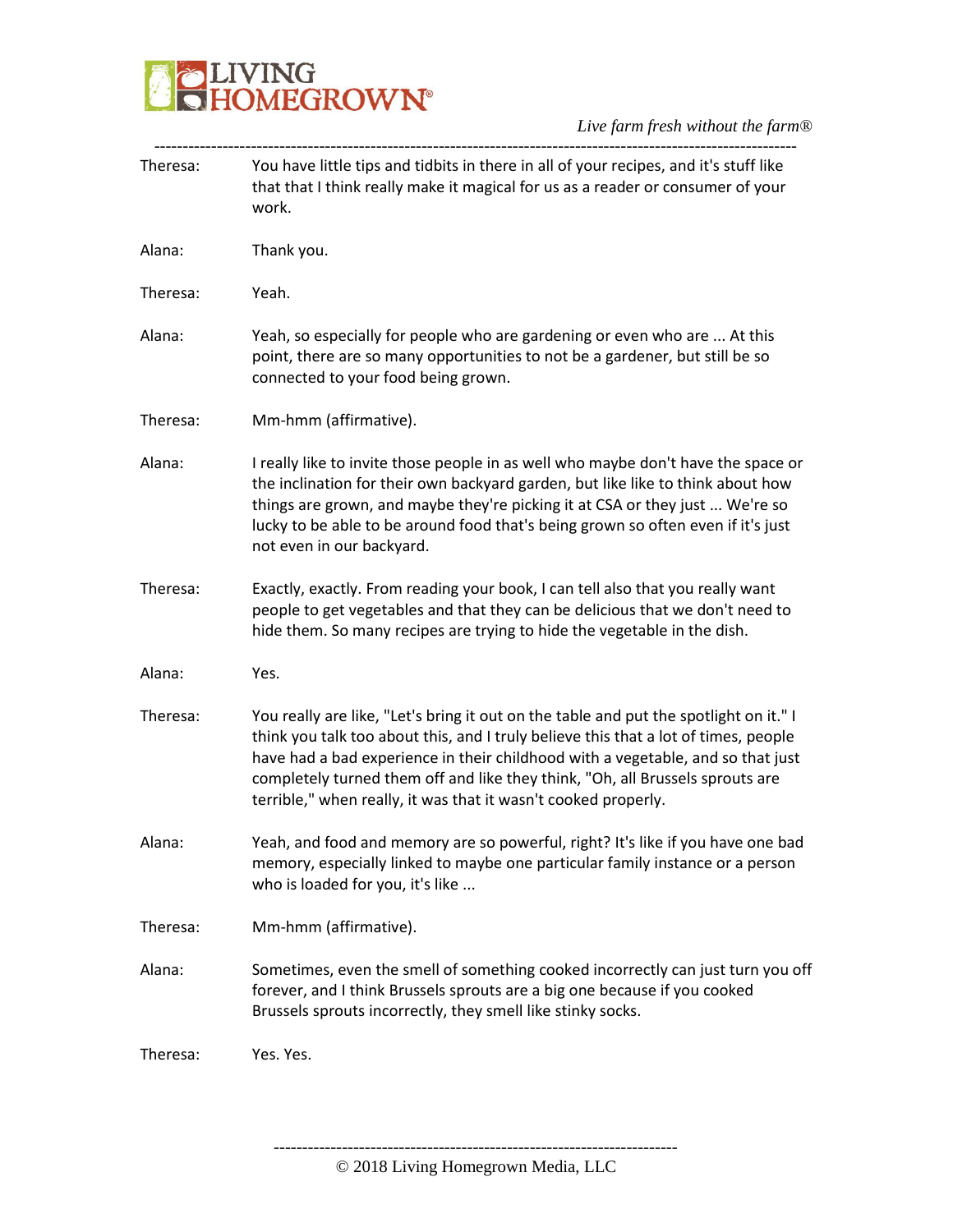# **BELIVING**<br>**BELIVING**<br> **BELIVING**

*Live farm fresh without the farm®*

| Theresa: | You have little tips and tidbits in there in all of your recipes, and it's stuff like<br>that that I think really make it magical for us as a reader or consumer of your<br>work.                                                                                                                                                                                                                                  |
|----------|--------------------------------------------------------------------------------------------------------------------------------------------------------------------------------------------------------------------------------------------------------------------------------------------------------------------------------------------------------------------------------------------------------------------|
| Alana:   | Thank you.                                                                                                                                                                                                                                                                                                                                                                                                         |
| Theresa: | Yeah.                                                                                                                                                                                                                                                                                                                                                                                                              |
| Alana:   | Yeah, so especially for people who are gardening or even who are  At this<br>point, there are so many opportunities to not be a gardener, but still be so<br>connected to your food being grown.                                                                                                                                                                                                                   |
| Theresa: | Mm-hmm (affirmative).                                                                                                                                                                                                                                                                                                                                                                                              |
| Alana:   | I really like to invite those people in as well who maybe don't have the space or<br>the inclination for their own backyard garden, but like like to think about how<br>things are grown, and maybe they're picking it at CSA or they just  We're so<br>lucky to be able to be around food that's being grown so often even if it's just<br>not even in our backyard.                                              |
| Theresa: | Exactly, exactly. From reading your book, I can tell also that you really want<br>people to get vegetables and that they can be delicious that we don't need to<br>hide them. So many recipes are trying to hide the vegetable in the dish.                                                                                                                                                                        |
| Alana:   | Yes.                                                                                                                                                                                                                                                                                                                                                                                                               |
| Theresa: | You really are like, "Let's bring it out on the table and put the spotlight on it." I<br>think you talk too about this, and I truly believe this that a lot of times, people<br>have had a bad experience in their childhood with a vegetable, and so that just<br>completely turned them off and like they think, "Oh, all Brussels sprouts are<br>terrible," when really, it was that it wasn't cooked properly. |
| Alana:   | Yeah, and food and memory are so powerful, right? It's like if you have one bad<br>memory, especially linked to maybe one particular family instance or a person<br>who is loaded for you, it's like                                                                                                                                                                                                               |
| Theresa: | Mm-hmm (affirmative).                                                                                                                                                                                                                                                                                                                                                                                              |
| Alana:   | Sometimes, even the smell of something cooked incorrectly can just turn you off<br>forever, and I think Brussels sprouts are a big one because if you cooked<br>Brussels sprouts incorrectly, they smell like stinky socks.                                                                                                                                                                                        |
| Theresa: | Yes. Yes.                                                                                                                                                                                                                                                                                                                                                                                                          |
|          |                                                                                                                                                                                                                                                                                                                                                                                                                    |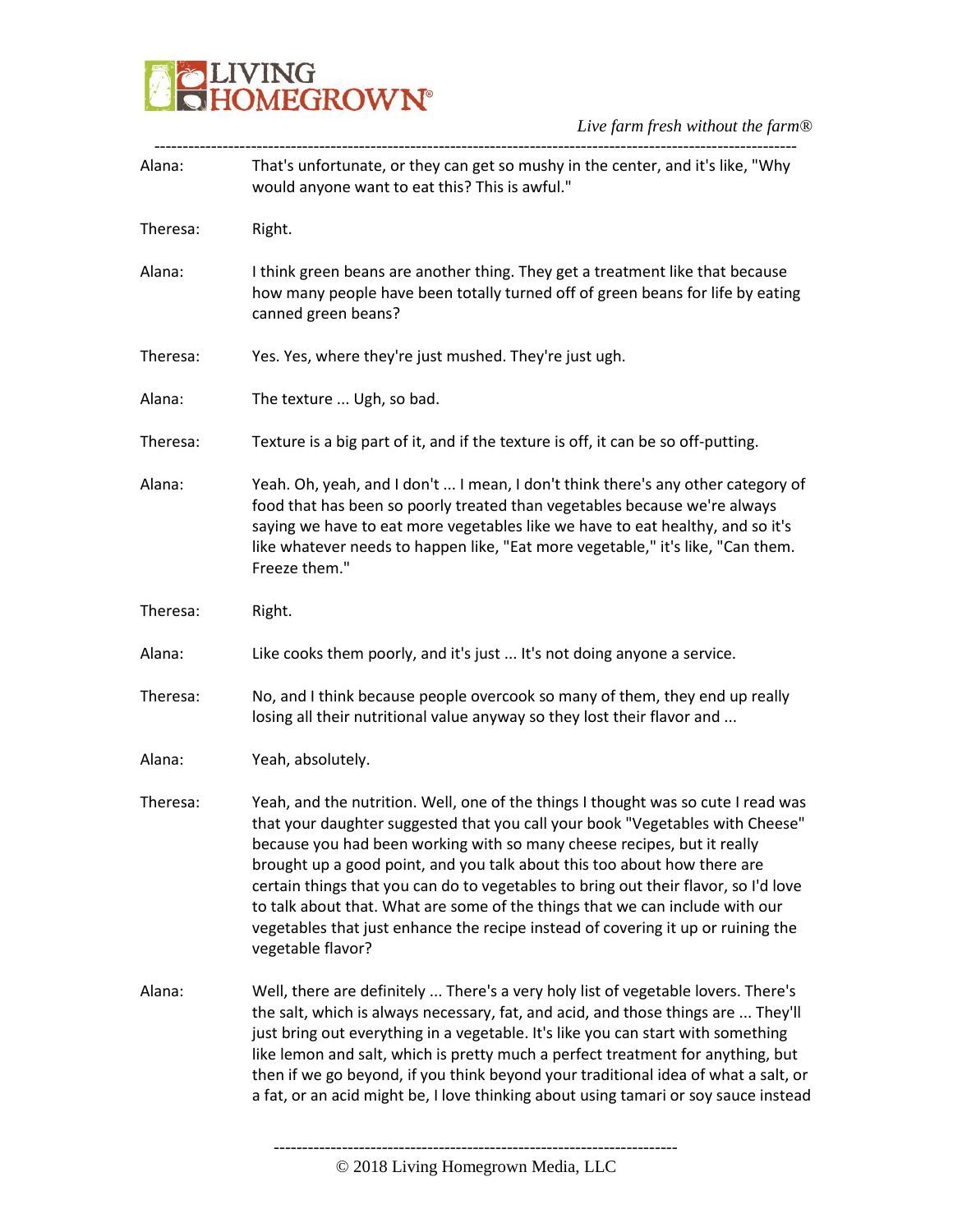### **BELIVING**<br>**BELIVING**<br> **BELIVING**

*Live farm fresh without the farm®*

| Alana:   | That's unfortunate, or they can get so mushy in the center, and it's like, "Why<br>would anyone want to eat this? This is awful."                                                                                                                                                                                                                                                                                                                                                                                                                                                                         |
|----------|-----------------------------------------------------------------------------------------------------------------------------------------------------------------------------------------------------------------------------------------------------------------------------------------------------------------------------------------------------------------------------------------------------------------------------------------------------------------------------------------------------------------------------------------------------------------------------------------------------------|
| Theresa: | Right.                                                                                                                                                                                                                                                                                                                                                                                                                                                                                                                                                                                                    |
| Alana:   | I think green beans are another thing. They get a treatment like that because<br>how many people have been totally turned off of green beans for life by eating<br>canned green beans?                                                                                                                                                                                                                                                                                                                                                                                                                    |
| Theresa: | Yes. Yes, where they're just mushed. They're just ugh.                                                                                                                                                                                                                                                                                                                                                                                                                                                                                                                                                    |
| Alana:   | The texture  Ugh, so bad.                                                                                                                                                                                                                                                                                                                                                                                                                                                                                                                                                                                 |
| Theresa: | Texture is a big part of it, and if the texture is off, it can be so off-putting.                                                                                                                                                                                                                                                                                                                                                                                                                                                                                                                         |
| Alana:   | Yeah. Oh, yeah, and I don't  I mean, I don't think there's any other category of<br>food that has been so poorly treated than vegetables because we're always<br>saying we have to eat more vegetables like we have to eat healthy, and so it's<br>like whatever needs to happen like, "Eat more vegetable," it's like, "Can them.<br>Freeze them."                                                                                                                                                                                                                                                       |
| Theresa: | Right.                                                                                                                                                                                                                                                                                                                                                                                                                                                                                                                                                                                                    |
| Alana:   | Like cooks them poorly, and it's just  It's not doing anyone a service.                                                                                                                                                                                                                                                                                                                                                                                                                                                                                                                                   |
| Theresa: | No, and I think because people overcook so many of them, they end up really<br>losing all their nutritional value anyway so they lost their flavor and                                                                                                                                                                                                                                                                                                                                                                                                                                                    |
| Alana:   | Yeah, absolutely.                                                                                                                                                                                                                                                                                                                                                                                                                                                                                                                                                                                         |
| Theresa: | Yeah, and the nutrition. Well, one of the things I thought was so cute I read was<br>that your daughter suggested that you call your book "Vegetables with Cheese"<br>because you had been working with so many cheese recipes, but it really<br>brought up a good point, and you talk about this too about how there are<br>certain things that you can do to vegetables to bring out their flavor, so I'd love<br>to talk about that. What are some of the things that we can include with our<br>vegetables that just enhance the recipe instead of covering it up or ruining the<br>vegetable flavor? |
| Alana:   | Well, there are definitely  There's a very holy list of vegetable lovers. There's<br>the salt, which is always necessary, fat, and acid, and those things are  They'll<br>just bring out everything in a vegetable. It's like you can start with something<br>like lemon and salt, which is pretty much a perfect treatment for anything, but<br>then if we go beyond, if you think beyond your traditional idea of what a salt, or<br>a fat, or an acid might be, I love thinking about using tamari or soy sauce instead                                                                                |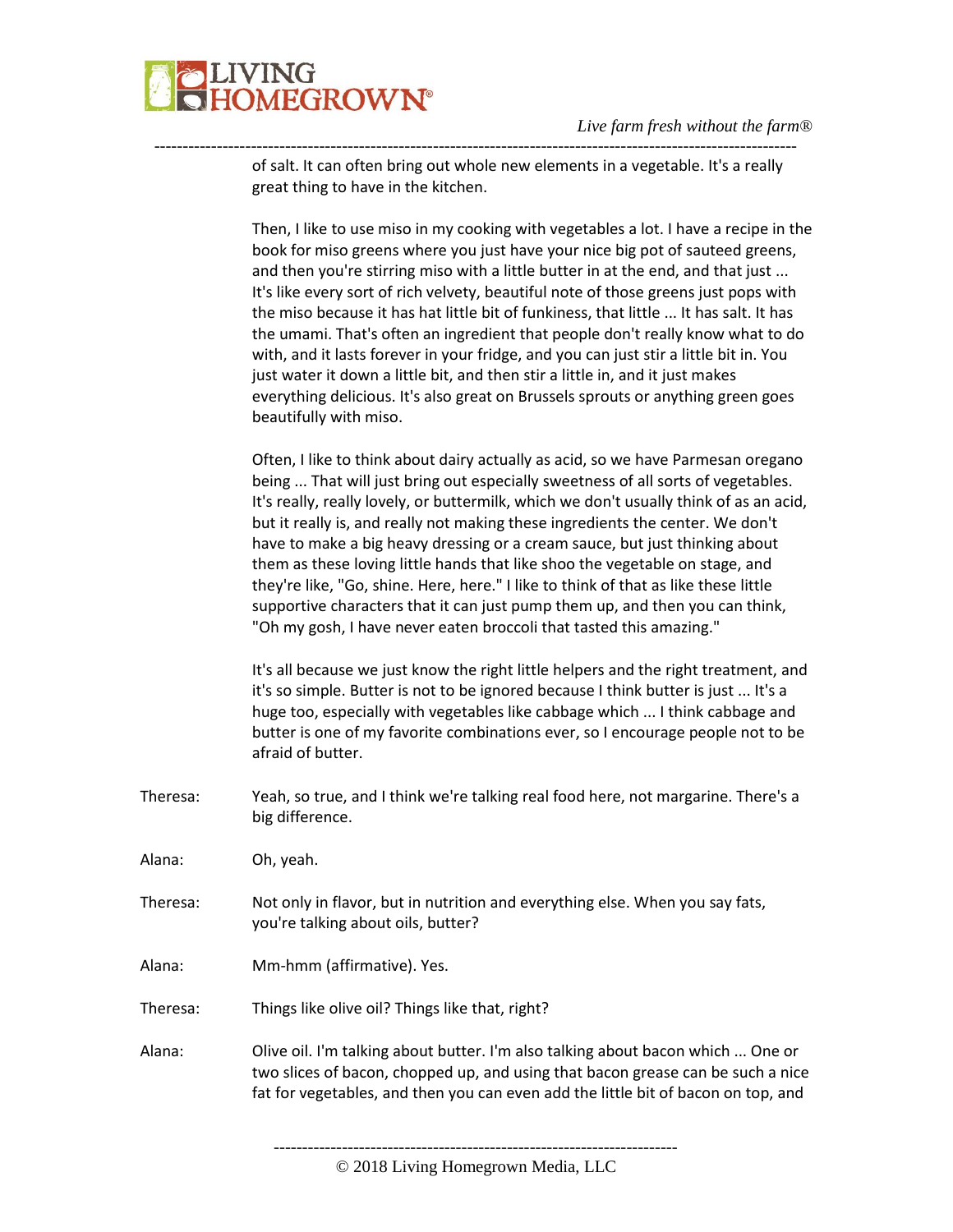

---------------------------------------------------------------------------------------------------------------- of salt. It can often bring out whole new elements in a vegetable. It's a really great thing to have in the kitchen.

> Then, I like to use miso in my cooking with vegetables a lot. I have a recipe in the book for miso greens where you just have your nice big pot of sauteed greens, and then you're stirring miso with a little butter in at the end, and that just ... It's like every sort of rich velvety, beautiful note of those greens just pops with the miso because it has hat little bit of funkiness, that little ... It has salt. It has the umami. That's often an ingredient that people don't really know what to do with, and it lasts forever in your fridge, and you can just stir a little bit in. You just water it down a little bit, and then stir a little in, and it just makes everything delicious. It's also great on Brussels sprouts or anything green goes beautifully with miso.

Often, I like to think about dairy actually as acid, so we have Parmesan oregano being ... That will just bring out especially sweetness of all sorts of vegetables. It's really, really lovely, or buttermilk, which we don't usually think of as an acid, but it really is, and really not making these ingredients the center. We don't have to make a big heavy dressing or a cream sauce, but just thinking about them as these loving little hands that like shoo the vegetable on stage, and they're like, "Go, shine. Here, here." I like to think of that as like these little supportive characters that it can just pump them up, and then you can think, "Oh my gosh, I have never eaten broccoli that tasted this amazing."

It's all because we just know the right little helpers and the right treatment, and it's so simple. Butter is not to be ignored because I think butter is just ... It's a huge too, especially with vegetables like cabbage which ... I think cabbage and butter is one of my favorite combinations ever, so I encourage people not to be afraid of butter.

Theresa: Yeah, so true, and I think we're talking real food here, not margarine. There's a big difference.

Alana: Oh, yeah.

- Theresa: Not only in flavor, but in nutrition and everything else. When you say fats, you're talking about oils, butter?
- Alana: Mm-hmm (affirmative). Yes.
- Theresa: Things like olive oil? Things like that, right?
- Alana: Olive oil. I'm talking about butter. I'm also talking about bacon which ... One or two slices of bacon, chopped up, and using that bacon grease can be such a nice fat for vegetables, and then you can even add the little bit of bacon on top, and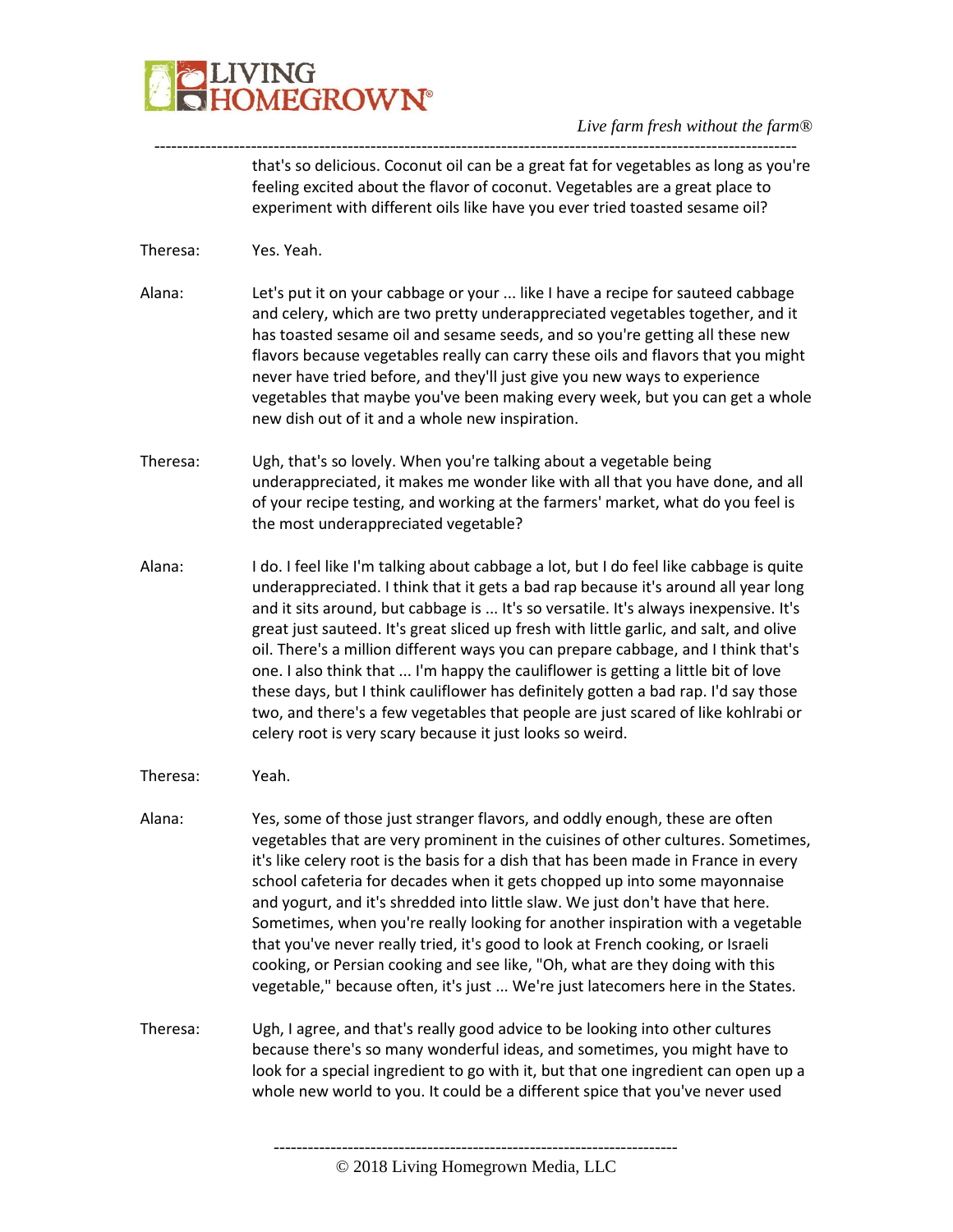# **LIVING<br>HOMEGROWN®**

#### *Live farm fresh without the farm®*

---------------------------------------------------------------------------------------------------------------- that's so delicious. Coconut oil can be a great fat for vegetables as long as you're feeling excited about the flavor of coconut. Vegetables are a great place to experiment with different oils like have you ever tried toasted sesame oil?

- Theresa: Yes. Yeah.
- Alana: Let's put it on your cabbage or your ... like I have a recipe for sauteed cabbage and celery, which are two pretty underappreciated vegetables together, and it has toasted sesame oil and sesame seeds, and so you're getting all these new flavors because vegetables really can carry these oils and flavors that you might never have tried before, and they'll just give you new ways to experience vegetables that maybe you've been making every week, but you can get a whole new dish out of it and a whole new inspiration.
- Theresa: Ugh, that's so lovely. When you're talking about a vegetable being underappreciated, it makes me wonder like with all that you have done, and all of your recipe testing, and working at the farmers' market, what do you feel is the most underappreciated vegetable?
- Alana: I do. I feel like I'm talking about cabbage a lot, but I do feel like cabbage is quite underappreciated. I think that it gets a bad rap because it's around all year long and it sits around, but cabbage is ... It's so versatile. It's always inexpensive. It's great just sauteed. It's great sliced up fresh with little garlic, and salt, and olive oil. There's a million different ways you can prepare cabbage, and I think that's one. I also think that ... I'm happy the cauliflower is getting a little bit of love these days, but I think cauliflower has definitely gotten a bad rap. I'd say those two, and there's a few vegetables that people are just scared of like kohlrabi or celery root is very scary because it just looks so weird.
- Theresa: Yeah.
- Alana: Yes, some of those just stranger flavors, and oddly enough, these are often vegetables that are very prominent in the cuisines of other cultures. Sometimes, it's like celery root is the basis for a dish that has been made in France in every school cafeteria for decades when it gets chopped up into some mayonnaise and yogurt, and it's shredded into little slaw. We just don't have that here. Sometimes, when you're really looking for another inspiration with a vegetable that you've never really tried, it's good to look at French cooking, or Israeli cooking, or Persian cooking and see like, "Oh, what are they doing with this vegetable," because often, it's just ... We're just latecomers here in the States.
- Theresa: Ugh, I agree, and that's really good advice to be looking into other cultures because there's so many wonderful ideas, and sometimes, you might have to look for a special ingredient to go with it, but that one ingredient can open up a whole new world to you. It could be a different spice that you've never used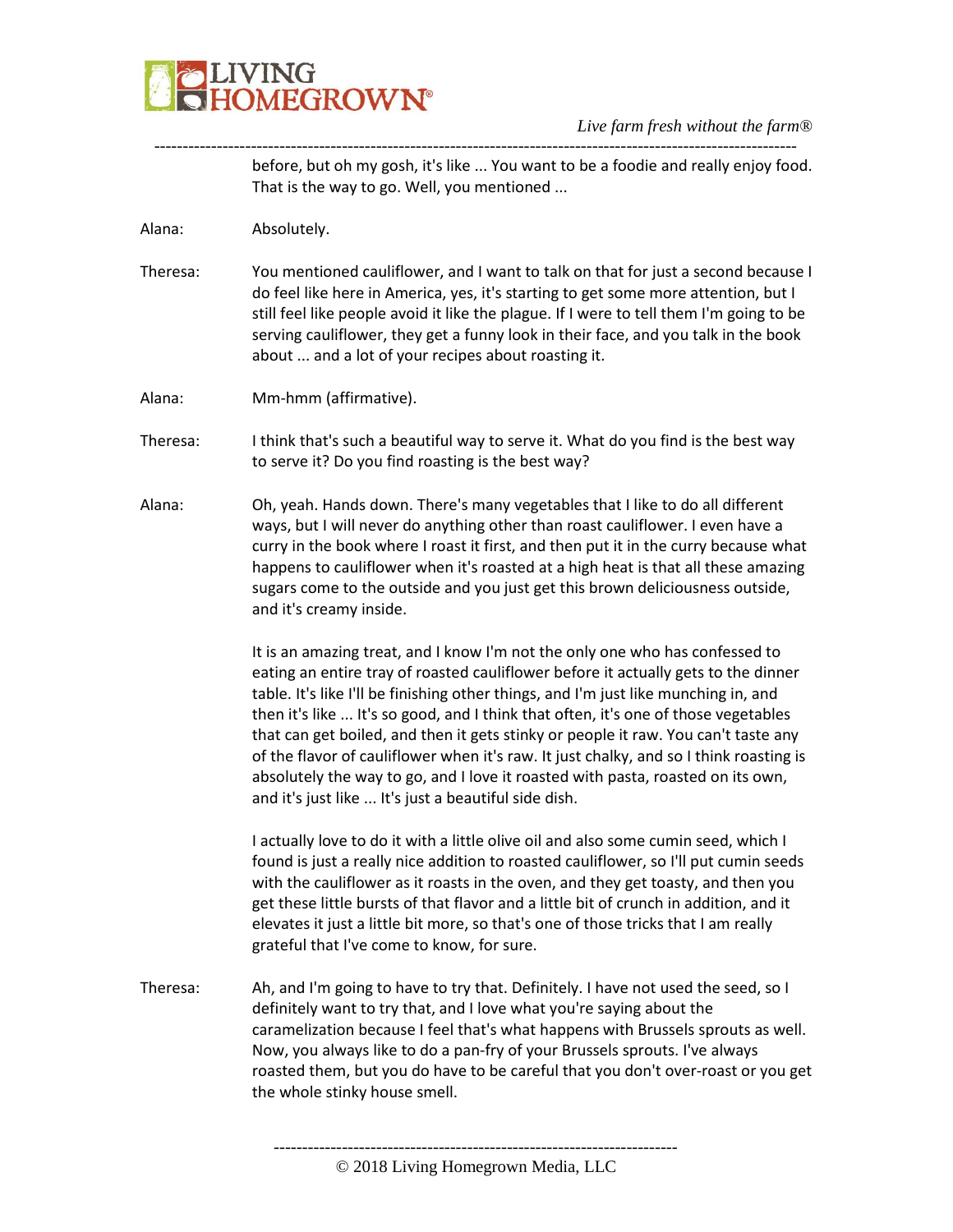

---------------------------------------------------------------------------------------------------------------- before, but oh my gosh, it's like ... You want to be a foodie and really enjoy food. That is the way to go. Well, you mentioned ...

Alana: Absolutely.

- Theresa: You mentioned cauliflower, and I want to talk on that for just a second because I do feel like here in America, yes, it's starting to get some more attention, but I still feel like people avoid it like the plague. If I were to tell them I'm going to be serving cauliflower, they get a funny look in their face, and you talk in the book about ... and a lot of your recipes about roasting it.
- Alana: Mm-hmm (affirmative).
- Theresa: I think that's such a beautiful way to serve it. What do you find is the best way to serve it? Do you find roasting is the best way?
- Alana: Oh, yeah. Hands down. There's many vegetables that I like to do all different ways, but I will never do anything other than roast cauliflower. I even have a curry in the book where I roast it first, and then put it in the curry because what happens to cauliflower when it's roasted at a high heat is that all these amazing sugars come to the outside and you just get this brown deliciousness outside, and it's creamy inside.

It is an amazing treat, and I know I'm not the only one who has confessed to eating an entire tray of roasted cauliflower before it actually gets to the dinner table. It's like I'll be finishing other things, and I'm just like munching in, and then it's like ... It's so good, and I think that often, it's one of those vegetables that can get boiled, and then it gets stinky or people it raw. You can't taste any of the flavor of cauliflower when it's raw. It just chalky, and so I think roasting is absolutely the way to go, and I love it roasted with pasta, roasted on its own, and it's just like ... It's just a beautiful side dish.

I actually love to do it with a little olive oil and also some cumin seed, which I found is just a really nice addition to roasted cauliflower, so I'll put cumin seeds with the cauliflower as it roasts in the oven, and they get toasty, and then you get these little bursts of that flavor and a little bit of crunch in addition, and it elevates it just a little bit more, so that's one of those tricks that I am really grateful that I've come to know, for sure.

Theresa: Ah, and I'm going to have to try that. Definitely. I have not used the seed, so I definitely want to try that, and I love what you're saying about the caramelization because I feel that's what happens with Brussels sprouts as well. Now, you always like to do a pan-fry of your Brussels sprouts. I've always roasted them, but you do have to be careful that you don't over-roast or you get the whole stinky house smell.

<sup>©</sup> 2018 Living Homegrown Media, LLC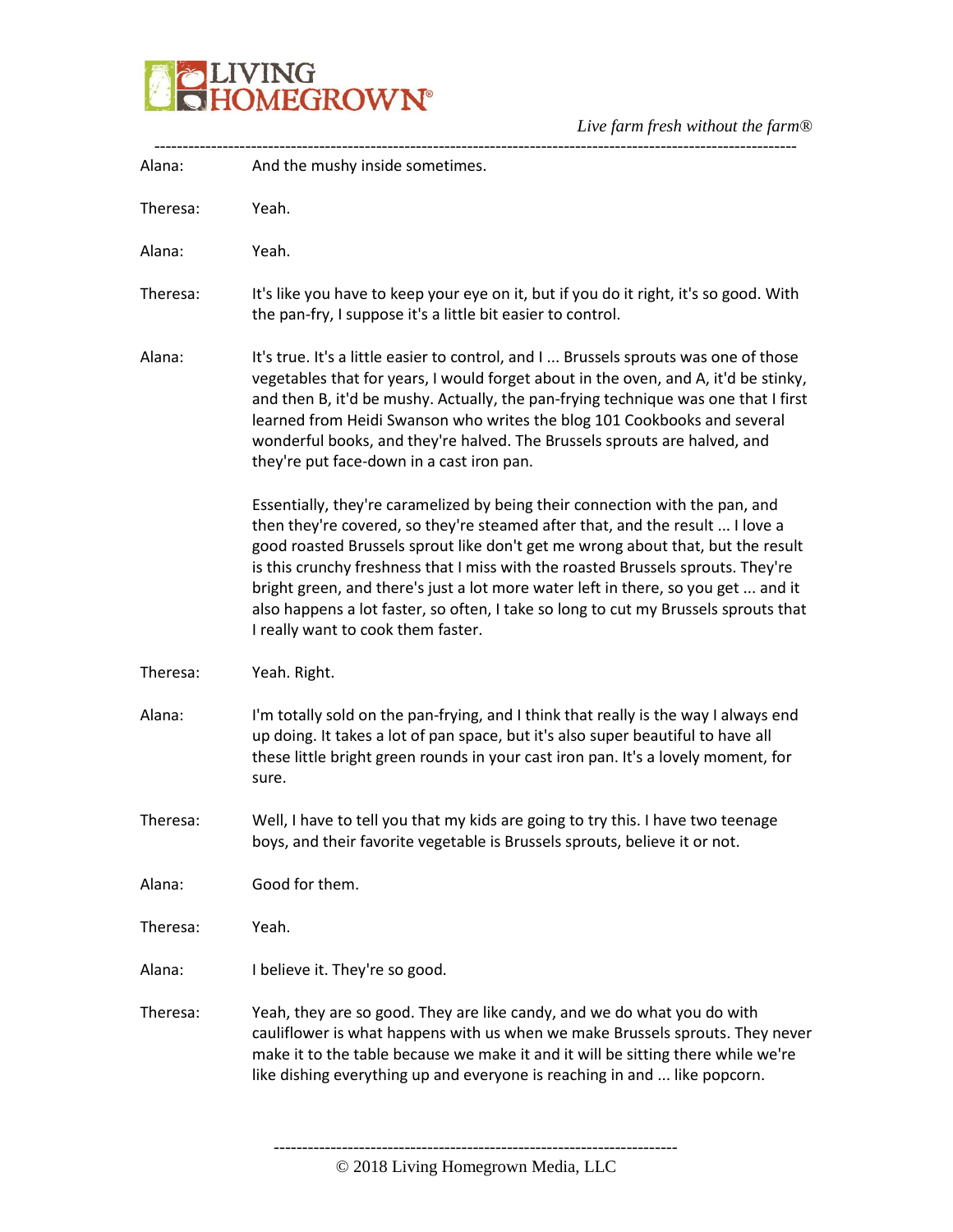

| Alana:   | And the mushy inside sometimes.                                                                                                                                                                                                                                                                                                                                                                                                                                                                                                                        |
|----------|--------------------------------------------------------------------------------------------------------------------------------------------------------------------------------------------------------------------------------------------------------------------------------------------------------------------------------------------------------------------------------------------------------------------------------------------------------------------------------------------------------------------------------------------------------|
| Theresa: | Yeah.                                                                                                                                                                                                                                                                                                                                                                                                                                                                                                                                                  |
| Alana:   | Yeah.                                                                                                                                                                                                                                                                                                                                                                                                                                                                                                                                                  |
| Theresa: | It's like you have to keep your eye on it, but if you do it right, it's so good. With<br>the pan-fry, I suppose it's a little bit easier to control.                                                                                                                                                                                                                                                                                                                                                                                                   |
| Alana:   | It's true. It's a little easier to control, and I  Brussels sprouts was one of those<br>vegetables that for years, I would forget about in the oven, and A, it'd be stinky,<br>and then B, it'd be mushy. Actually, the pan-frying technique was one that I first<br>learned from Heidi Swanson who writes the blog 101 Cookbooks and several<br>wonderful books, and they're halved. The Brussels sprouts are halved, and<br>they're put face-down in a cast iron pan.                                                                                |
|          | Essentially, they're caramelized by being their connection with the pan, and<br>then they're covered, so they're steamed after that, and the result  I love a<br>good roasted Brussels sprout like don't get me wrong about that, but the result<br>is this crunchy freshness that I miss with the roasted Brussels sprouts. They're<br>bright green, and there's just a lot more water left in there, so you get  and it<br>also happens a lot faster, so often, I take so long to cut my Brussels sprouts that<br>I really want to cook them faster. |
| Theresa: | Yeah. Right.                                                                                                                                                                                                                                                                                                                                                                                                                                                                                                                                           |
| Alana:   | I'm totally sold on the pan-frying, and I think that really is the way I always end<br>up doing. It takes a lot of pan space, but it's also super beautiful to have all<br>these little bright green rounds in your cast iron pan. It's a lovely moment, for<br>sure.                                                                                                                                                                                                                                                                                  |
| Theresa: | Well, I have to tell you that my kids are going to try this. I have two teenage<br>boys, and their favorite vegetable is Brussels sprouts, believe it or not.                                                                                                                                                                                                                                                                                                                                                                                          |
| Alana:   | Good for them.                                                                                                                                                                                                                                                                                                                                                                                                                                                                                                                                         |
| Theresa: | Yeah.                                                                                                                                                                                                                                                                                                                                                                                                                                                                                                                                                  |
| Alana:   | I believe it. They're so good.                                                                                                                                                                                                                                                                                                                                                                                                                                                                                                                         |
| Theresa: | Yeah, they are so good. They are like candy, and we do what you do with<br>cauliflower is what happens with us when we make Brussels sprouts. They never<br>make it to the table because we make it and it will be sitting there while we're<br>like dishing everything up and everyone is reaching in and  like popcorn.                                                                                                                                                                                                                              |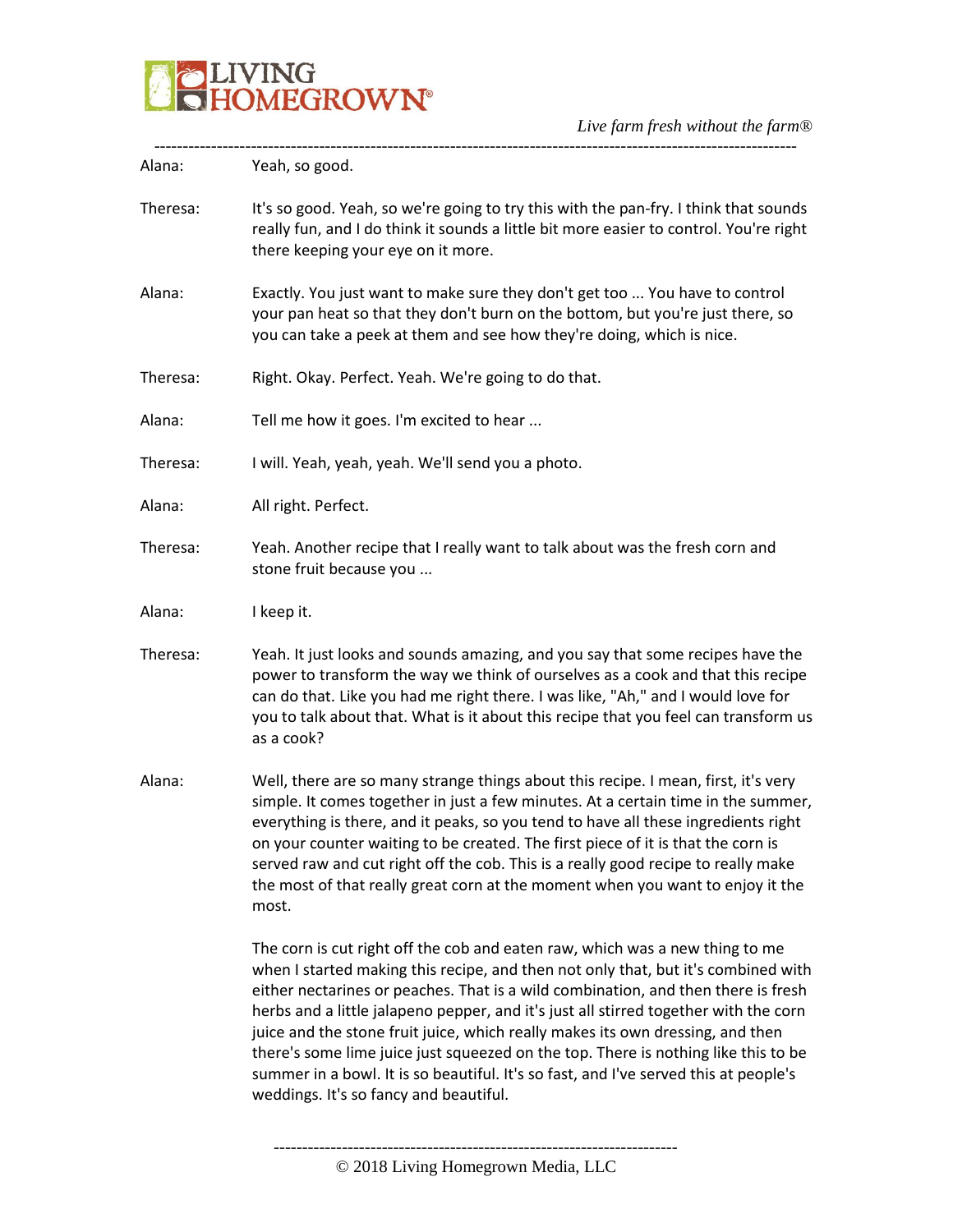

| Alana:   | Yeah, so good.                                                                                                                                                                                                                                                                                                                                                                                                                                                                                                                                                                                                                                           |
|----------|----------------------------------------------------------------------------------------------------------------------------------------------------------------------------------------------------------------------------------------------------------------------------------------------------------------------------------------------------------------------------------------------------------------------------------------------------------------------------------------------------------------------------------------------------------------------------------------------------------------------------------------------------------|
| Theresa: | It's so good. Yeah, so we're going to try this with the pan-fry. I think that sounds<br>really fun, and I do think it sounds a little bit more easier to control. You're right<br>there keeping your eye on it more.                                                                                                                                                                                                                                                                                                                                                                                                                                     |
| Alana:   | Exactly. You just want to make sure they don't get too  You have to control<br>your pan heat so that they don't burn on the bottom, but you're just there, so<br>you can take a peek at them and see how they're doing, which is nice.                                                                                                                                                                                                                                                                                                                                                                                                                   |
| Theresa: | Right. Okay. Perfect. Yeah. We're going to do that.                                                                                                                                                                                                                                                                                                                                                                                                                                                                                                                                                                                                      |
| Alana:   | Tell me how it goes. I'm excited to hear                                                                                                                                                                                                                                                                                                                                                                                                                                                                                                                                                                                                                 |
| Theresa: | I will. Yeah, yeah, yeah. We'll send you a photo.                                                                                                                                                                                                                                                                                                                                                                                                                                                                                                                                                                                                        |
| Alana:   | All right. Perfect.                                                                                                                                                                                                                                                                                                                                                                                                                                                                                                                                                                                                                                      |
| Theresa: | Yeah. Another recipe that I really want to talk about was the fresh corn and<br>stone fruit because you                                                                                                                                                                                                                                                                                                                                                                                                                                                                                                                                                  |
| Alana:   | I keep it.                                                                                                                                                                                                                                                                                                                                                                                                                                                                                                                                                                                                                                               |
| Theresa: | Yeah. It just looks and sounds amazing, and you say that some recipes have the<br>power to transform the way we think of ourselves as a cook and that this recipe<br>can do that. Like you had me right there. I was like, "Ah," and I would love for<br>you to talk about that. What is it about this recipe that you feel can transform us<br>as a cook?                                                                                                                                                                                                                                                                                               |
| Alana:   | Well, there are so many strange things about this recipe. I mean, first, it's very<br>simple. It comes together in just a few minutes. At a certain time in the summer,<br>everything is there, and it peaks, so you tend to have all these ingredients right<br>on your counter waiting to be created. The first piece of it is that the corn is<br>served raw and cut right off the cob. This is a really good recipe to really make<br>the most of that really great corn at the moment when you want to enjoy it the<br>most.                                                                                                                        |
|          | The corn is cut right off the cob and eaten raw, which was a new thing to me<br>when I started making this recipe, and then not only that, but it's combined with<br>either nectarines or peaches. That is a wild combination, and then there is fresh<br>herbs and a little jalapeno pepper, and it's just all stirred together with the corn<br>juice and the stone fruit juice, which really makes its own dressing, and then<br>there's some lime juice just squeezed on the top. There is nothing like this to be<br>summer in a bowl. It is so beautiful. It's so fast, and I've served this at people's<br>weddings. It's so fancy and beautiful. |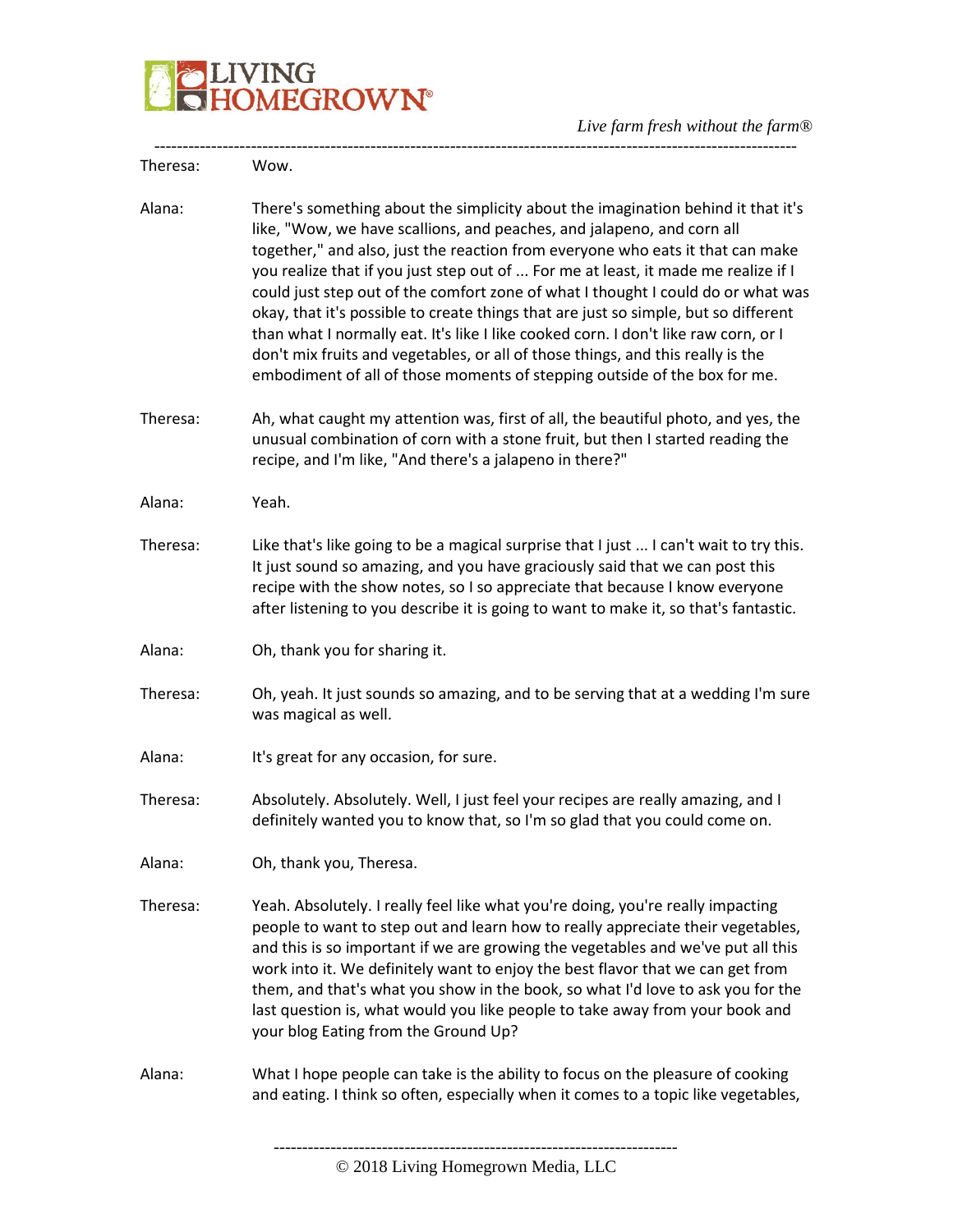

*Live farm fresh without the farm®* -----------------------------------------------------------------------------------------------------------------

| Theresa: | Wow.                                                                                                                                                                                                                                                                                                                                                                                                                                                                                                                                                                                                                                                                                                                                                                 |
|----------|----------------------------------------------------------------------------------------------------------------------------------------------------------------------------------------------------------------------------------------------------------------------------------------------------------------------------------------------------------------------------------------------------------------------------------------------------------------------------------------------------------------------------------------------------------------------------------------------------------------------------------------------------------------------------------------------------------------------------------------------------------------------|
| Alana:   | There's something about the simplicity about the imagination behind it that it's<br>like, "Wow, we have scallions, and peaches, and jalapeno, and corn all<br>together," and also, just the reaction from everyone who eats it that can make<br>you realize that if you just step out of  For me at least, it made me realize if I<br>could just step out of the comfort zone of what I thought I could do or what was<br>okay, that it's possible to create things that are just so simple, but so different<br>than what I normally eat. It's like I like cooked corn. I don't like raw corn, or I<br>don't mix fruits and vegetables, or all of those things, and this really is the<br>embodiment of all of those moments of stepping outside of the box for me. |
| Theresa: | Ah, what caught my attention was, first of all, the beautiful photo, and yes, the<br>unusual combination of corn with a stone fruit, but then I started reading the<br>recipe, and I'm like, "And there's a jalapeno in there?"                                                                                                                                                                                                                                                                                                                                                                                                                                                                                                                                      |
| Alana:   | Yeah.                                                                                                                                                                                                                                                                                                                                                                                                                                                                                                                                                                                                                                                                                                                                                                |
| Theresa: | Like that's like going to be a magical surprise that I just  I can't wait to try this.<br>It just sound so amazing, and you have graciously said that we can post this<br>recipe with the show notes, so I so appreciate that because I know everyone<br>after listening to you describe it is going to want to make it, so that's fantastic.                                                                                                                                                                                                                                                                                                                                                                                                                        |
| Alana:   | Oh, thank you for sharing it.                                                                                                                                                                                                                                                                                                                                                                                                                                                                                                                                                                                                                                                                                                                                        |
| Theresa: | Oh, yeah. It just sounds so amazing, and to be serving that at a wedding I'm sure<br>was magical as well.                                                                                                                                                                                                                                                                                                                                                                                                                                                                                                                                                                                                                                                            |
| Alana:   | It's great for any occasion, for sure.                                                                                                                                                                                                                                                                                                                                                                                                                                                                                                                                                                                                                                                                                                                               |
| Theresa: | Absolutely. Absolutely. Well, I just feel your recipes are really amazing, and I<br>definitely wanted you to know that, so I'm so glad that you could come on.                                                                                                                                                                                                                                                                                                                                                                                                                                                                                                                                                                                                       |
| Alana:   | Oh, thank you, Theresa.                                                                                                                                                                                                                                                                                                                                                                                                                                                                                                                                                                                                                                                                                                                                              |
| Theresa: | Yeah. Absolutely. I really feel like what you're doing, you're really impacting<br>people to want to step out and learn how to really appreciate their vegetables,<br>and this is so important if we are growing the vegetables and we've put all this<br>work into it. We definitely want to enjoy the best flavor that we can get from<br>them, and that's what you show in the book, so what I'd love to ask you for the<br>last question is, what would you like people to take away from your book and<br>your blog Eating from the Ground Up?                                                                                                                                                                                                                  |
| Alana:   | What I hope people can take is the ability to focus on the pleasure of cooking<br>and eating. I think so often, especially when it comes to a topic like vegetables,                                                                                                                                                                                                                                                                                                                                                                                                                                                                                                                                                                                                 |
|          |                                                                                                                                                                                                                                                                                                                                                                                                                                                                                                                                                                                                                                                                                                                                                                      |